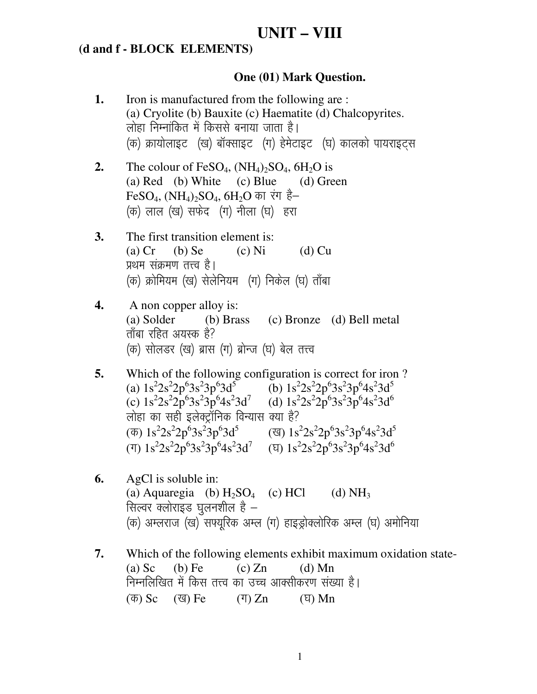# **UNIT-VIII**

#### (d and f - BLOCK ELEMENTS)

#### **One (01) Mark Question.**

- Iron is manufactured from the following are: 1. (a) Cryolite (b) Bauxite (c) Haematite (d) Chalcopyrites. लोहा निम्नांकित में किससे बनाया जाता है। (क) क्रायोलाइट (ख) बॉक्साइट (ग) हेमेटाइट (घ) कालको पायराइटस
- The colour of FeSO<sub>4</sub>,  $(NH_4)_2SO_4$ ,  $6H_2O$  is  $2.$ (a) Red (b) White (c) Blue (d) Green FeSO<sub>4</sub>, (NH<sub>4</sub>)<sub>2</sub>SO<sub>4</sub>, 6H<sub>2</sub>O का रंग है– (क) लाल (ख) सफेद (ग) नीला (घ) हरा
- $3.$ The first transition element is:  $(a)$  Cr  $(b)$  Se  $(c)$  Ni  $(d)$  Cu प्रथम संक्रमण तत्त्व है। (क) क्रोमियम (ख) सेलेनियम) (ग) निकेल (घ) ताँबा
- A non copper alloy is: 4. (a) Solder  $(b)$  Brass (c) Bronze (d) Bell metal ताँबा रहित अयस्क है? (क) सोलडर (ख) ब्रास (ग) ब्रोन्ज (घ) बेल तत्त्व
- 5. Which of the following configuration is correct for iron? (a)  $1s^22s^22p^63s^23p^63d^5$ (b)  $1s^22s^22p^63s^23p^64s^23d^5$ (c)  $1s^22s^22p^63s^23p^64s^23d^7$ (d)  $1s^22s^22p^63s^23p^64s^23d^6$ लोहा का सही इलेक्ट्रॉनिक विन्यास क्या है?  $(\overline{\Phi})$  1s<sup>2</sup>2s<sup>2</sup>2p<sup>6</sup>3s<sup>2</sup>3p<sup>6</sup>3d<sup>5</sup> (ख) 1s<sup>2</sup>2s<sup>2</sup>2p<sup>6</sup>3s<sup>2</sup>3p<sup>6</sup>4s<sup>2</sup>3d<sup>5</sup> (T)  $1s^22s^22p^63s^23p^64s^23d^7$  (T)  $1s^22s^22p^63s^23p^64s^23d^6$
- 6. AgCl is soluble in: (a) Aquaregia (b)  $H_2SO_4$  $(c)$  HCl  $(d) NH<sub>3</sub>$ सिल्वर क्लोराइड घुलनशील है – (क) अम्लराज (ख) सफ्यूरिक अम्ल (ग) हाइड़ोक्लोरिक अम्ल (घ) अमोनिया
- 7. Which of the following elements exhibit maximum oxidation state- $(b)$  Fe  $(c) Zn$  $(a)$  Sc  $(d)$  Mn निम्नलिखित में किस तत्त्व का उच्च आक्सीकरण संख्या है। (क) Sc (জ) Fe  $(T) Zn$ (ঘ)  $Mn$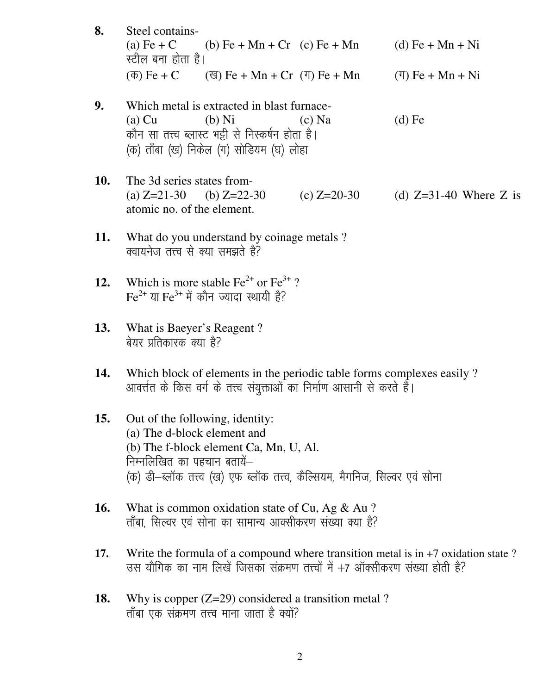- 8. Steel contains-(b) Fe + Mn + Cr (c) Fe + Mn (a) Fe +  $C$ (d)  $Fe + Mn + Ni$ स्टील बना होता है।  $(\overline{\Phi})$  Fe + C  $(\overline{q})$  Fe + Mn + Cr  $(\overline{q})$  Fe + Mn  $(\mathbf{T}) \mathbf{Fe} + \mathbf{Mn} + \mathbf{Ni}$
- Which metal is extracted in blast furnace-9.  $(a)$  Cu  $(b)$  Ni  $(c)$  Na  $(d)$  Fe कौन सा तत्त्व ब्लास्ट भट्टी से निस्कर्षन होता है। (क) ताँबा (ख) निकेल (ग) सोडियम (घ) लोहा
- 10. The 3d series states from-(a)  $Z=21-30$  (b)  $Z=22-30$ (c)  $Z=20-30$ (d)  $Z=31-40$  Where Z is atomic no. of the element.
- What do you understand by coinage metals? 11. क्वायनेज तत्त्व से क्या समझते हैं?
- Which is more stable  $\text{Fe}^{2+}$  or  $\text{Fe}^{3+}$ ?  $12.$ Fe<sup>2+</sup> या Fe<sup>3+</sup> में कौन ज्यादा स्थायी है?
- What is Baeyer's Reagent? 13. बेयर प्रतिकारक क्या है?
- Which block of elements in the periodic table forms complexes easily? 14. आवर्त्तत के किस वर्ग के तत्त्व संयुक्ताओं का निर्माण आसानी से करते हैं।
- 15. Out of the following, identity: (a) The d-block element and (b) The f-block element Ca, Mn, U, Al. निम्नलिखित का पहचान बतायें– (क) डी-ब्लॉक तत्त्व (ख) एफ ब्लॉक तत्त्व, कैल्सियम, मैगनिज, सिल्वर एवं सोना
- What is common oxidation state of Cu, Ag & Au ? 16. ताँबा, सिल्वर एवं सोना का सामान्य आक्सीकरण संख्या क्या है?
- Write the formula of a compound where transition metal is in  $+7$  oxidation state? 17. उस यौगिक का नाम लिखें जिसका संक्रमण तत्त्वों में +7 ऑक्सीकरण संख्या होती है?
- Why is copper  $(Z=29)$  considered a transition metal? 18. तॉबा एक संक्रमण तत्त्व माना जाता है क्यों?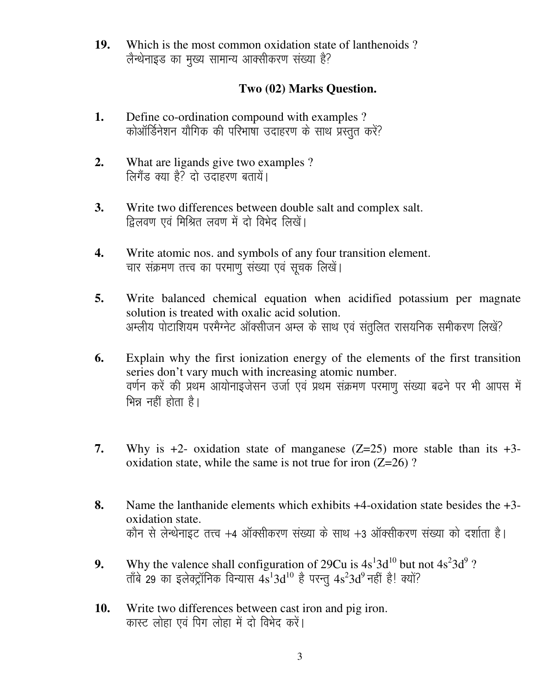**19.** Which is the most common oxidation state of lanthenoids? लैन्थेनाइड का मुख्य सामान्य आक्सीकरण संख्या है?

## Two (02) Marks Question.

- Define co-ordination compound with examples ? 1. कोऑर्डिनेशन यौगिक की परिभाषा उदाहरण के साथ प्रस्तुत करें?
- $2.$ What are ligands give two examples ? लिगैंड क्या है? दो उदाहरण बतायें।
- Write two differences between double salt and complex salt.  $3.$ द्विलवण एवं मिश्रित लवण में दो विभेद लिखें।
- 4. Write atomic nos. and symbols of any four transition element. चार संक्रमण तत्त्व का परमाणु संख्या एवं सूचक लिखें।
- 5. Write balanced chemical equation when acidified potassium per magnate solution is treated with oxalic acid solution. अम्लीय पोटाशियम परमैग्नेट ऑक्सीजन अम्ल के साथ एवं संतुलित रासयनिक समीकरण लिखें?
- Explain why the first ionization energy of the elements of the first transition 6. series don't vary much with increasing atomic number. वर्णन करें की प्रथम आयोनाइजेसन उर्जा एवं प्रथम संक्रमण परमाणु संख्या बढने पर भी आपस में भिन्न नहीं होता है।
- 7. Why is  $+2$ - oxidation state of manganese (Z=25) more stable than its  $+3$ oxidation state, while the same is not true for iron  $(Z=26)$ ?
- Name the lanthanide elements which exhibits  $+4$ -oxidation state besides the  $+3$ -8. oxidation state. कौन से लेन्थेनाइट तत्त्व +4 ऑक्सीकरण संख्या के साथ +3 ऑक्सीकरण संख्या को दर्शाता है।
- Why the valence shall configuration of 29Cu is  $4s<sup>1</sup>3d<sup>10</sup>$  but not  $4s<sup>2</sup>3d<sup>9</sup>$ ? 9. ताँबे 29 का इलेक्ट्रॉनिक विन्यास  $4s^{1}3d^{10}$  है परन्तू  $4s^{2}3d^{9}$  नहीं है! क्यों?
- 10. Write two differences between cast iron and pig iron. कास्ट लोहा एवं पिग लोहा में दो विभेद करें।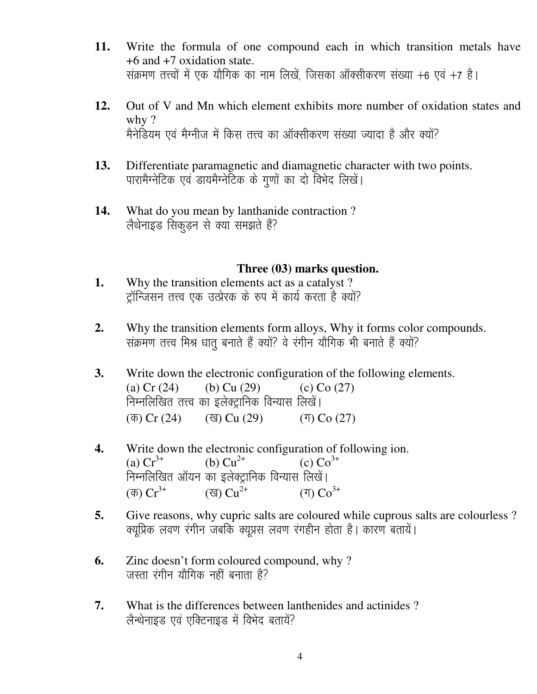- Write the formula of one compound each in which transition metals have 11.  $+6$  and  $+7$  oxidation state. संक्रमण तत्त्वों में एक यौगिक का नाम लिखें, जिसका ऑक्सीकरण संख्या +6 एवं +7 है।
- 12. Out of V and Mn which element exhibits more number of oxidation states and why  $?$ मैनेडियम एवं मैग्नीज में किस तत्त्व का ऑक्सीकरण संख्या ज्यादा है और क्यों?
- 13. Differentiate paramagnetic and diamagnetic character with two points. पारामैग्नेटिक एवं डायमैग्नेटिक के गुणों का दो विभेद लिखें।
- 14. What do you mean by lanthanide contraction? लैथेनाइड सिकडून से क्या समझते हैं?

### Three (03) marks question.

- Why the transition elements act as a catalyst? 1. टॉन्जिसन तत्त्व एक उत्प्रेरक के रुप में कार्य करता है क्यों?
- $2.$ Why the transition elements form alloys, Why it forms color compounds. संक्रमण तत्त्व मिश्र धात बनाते हैं क्यों? वे रंगीन यौगिक भी बनाते हैं क्यों?
- Write down the electronic configuration of the following elements.  $3.$ (a)  $Cr(24)$ (b)  $Cu(29)$ (c)  $Co(27)$ निम्नलिखित तत्त्व का इलेक्ट्रानिक विन्यास लिखें।  $(\overline{\Phi})$  Cr (24) (ख) Cu  $(29)$  $(T)$  Co  $(27)$
- 4. Write down the electronic configuration of following ion. (a)  $Cr^{3+}$ (b)  $Cu^{2+}$ (c)  $Co^{3+}$ निम्नलिखित ऑयन का इलेक्ट्रानिक विन्यास लिखें। (ख)  $Cu^{2+}$  $\sigma$   $Cr^{3+}$  $(T)$   $Co^{3+}$
- Give reasons, why cupric salts are coloured while cuprous salts are colourless? 5. क्यूप्रिक लवण रंगीन जबकि क्यूप्रस लवण रंगहीन होता है। कारण बतायें।
- Zinc doesn't form coloured compound, why? 6. जस्ता रंगीन यौगिक नहीं बनाता है?
- $7.$ What is the differences between lanthenides and actinides? लैन्थेनाइड एवं एक्टिनाइड में विभेद बतायें?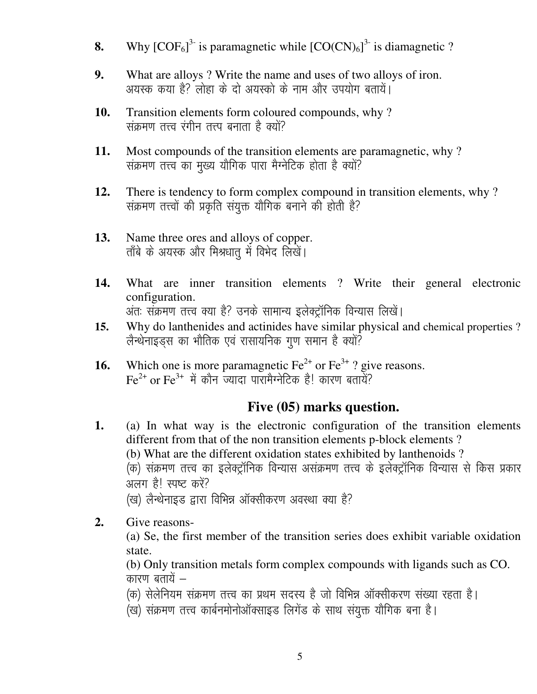- Why  $[COF_6]^3$  is paramagnetic while  $[CO(CN)_6]^3$  is diamagnetic ? 8.
- What are alloys ? Write the name and uses of two alloys of iron. 9. अयस्क कया है? लोहा के दो अयस्को के नाम और उपयोग बतायें।
- Transition elements form coloured compounds, why? 10. संक्रमण तत्त्व रंगीन तत्त्प बनाता है क्यों?
- Most compounds of the transition elements are paramagnetic, why? 11. संक्रमण तत्त्व का मुख्य यौगिक पारा मैग्नेटिक होता है क्यों?
- $12.$ There is tendency to form complex compound in transition elements, why? संक्रमण तत्त्वों की प्रकृति संयुक्त यौगिक बनाने की होती है?
- 13. Name three ores and alloys of copper. ताँबे के अयस्क और मिश्रधात् में विभेद लिखें।
- What are inner transition elements ? Write their general electronic 14. configuration. अंतः संक्रमण तत्त्व क्या है? उनके सामान्य इलेक्ट्रॉनिक विन्यास लिखें।
- Why do lanthenides and actinides have similar physical and chemical properties ? 15. लैन्थेनाइड्स का भौतिक एवं रासायनिक गुण समान है क्यों?
- Which one is more paramagnetic  $\text{Fe}^{2+}$  or  $\text{Fe}^{3+}$ ? give reasons. 16.  $Fe^{2+}$  or  $Fe^{3+}$  में कौन ज्यादा पारामैग्नेटिक है! कारण बतायें?

## Five (05) marks question.

- (a) In what way is the electronic configuration of the transition elements 1. different from that of the non transition elements p-block elements? (b) What are the different oxidation states exhibited by lanthenoids? (क) संक्रमण तत्त्व का इलेक्ट्रॉनिक विन्यास असंक्रमण तत्त्व के इलेक्ट्रॉनिक विन्यास से किस प्रकार अलग है! स्पष्ट करें? (ख) लैन्थेनाइड द्वारा विभिन्न ऑक्सीकरण अवस्था क्या है?
- $2.$ Give reasons-

(a) Se, the first member of the transition series does exhibit variable oxidation state.

(b) Only transition metals form complex compounds with ligands such as CO. कारण बतायें –

- (क) सेलेनियम संक्रमण तत्त्व का प्रथम सदस्य है जो विभिन्न ऑक्सीकरण संख्या रहता है।
- .<br>(ख) संक्रमण तत्त्व कार्बनमोनोऑक्साइड लिगेंड के साथ संयुक्त यौगिक बना है।